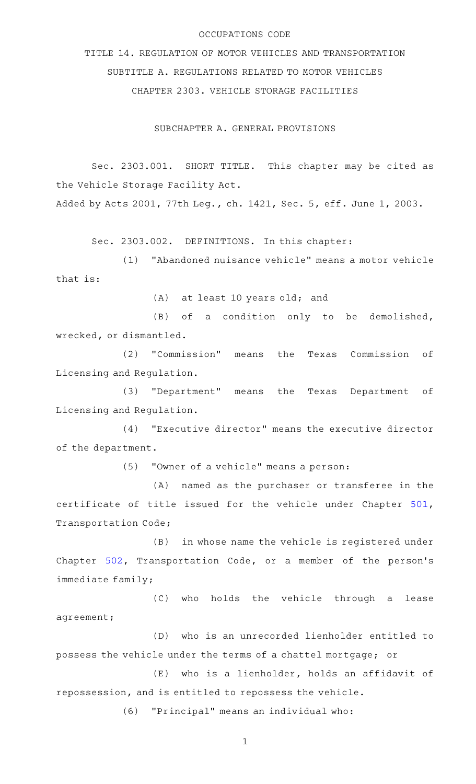#### OCCUPATIONS CODE

TITLE 14. REGULATION OF MOTOR VEHICLES AND TRANSPORTATION SUBTITLE A. REGULATIONS RELATED TO MOTOR VEHICLES CHAPTER 2303. VEHICLE STORAGE FACILITIES

SUBCHAPTER A. GENERAL PROVISIONS

Sec. 2303.001. SHORT TITLE. This chapter may be cited as the Vehicle Storage Facility Act.

Added by Acts 2001, 77th Leg., ch. 1421, Sec. 5, eff. June 1, 2003.

Sec. 2303.002. DEFINITIONS. In this chapter:

(1) "Abandoned nuisance vehicle" means a motor vehicle that is:

 $(A)$  at least 10 years old; and

 $(B)$  of a condition only to be demolished, wrecked, or dismantled.

(2) "Commission" means the Texas Commission of Licensing and Regulation.

(3) "Department" means the Texas Department of Licensing and Regulation.

(4) "Executive director" means the executive director of the department.

(5) "Owner of a vehicle" means a person:

(A) named as the purchaser or transferee in the certificate of title issued for the vehicle under Chapter [501](http://www.statutes.legis.state.tx.us/GetStatute.aspx?Code=TN&Value=501), Transportation Code;

(B) in whose name the vehicle is registered under Chapter [502](http://www.statutes.legis.state.tx.us/GetStatute.aspx?Code=TN&Value=502), Transportation Code, or a member of the person's immediate family;

(C) who holds the vehicle through a lease agreement;

(D) who is an unrecorded lienholder entitled to possess the vehicle under the terms of a chattel mortgage; or

(E) who is a lienholder, holds an affidavit of repossession, and is entitled to repossess the vehicle.

(6) "Principal" means an individual who: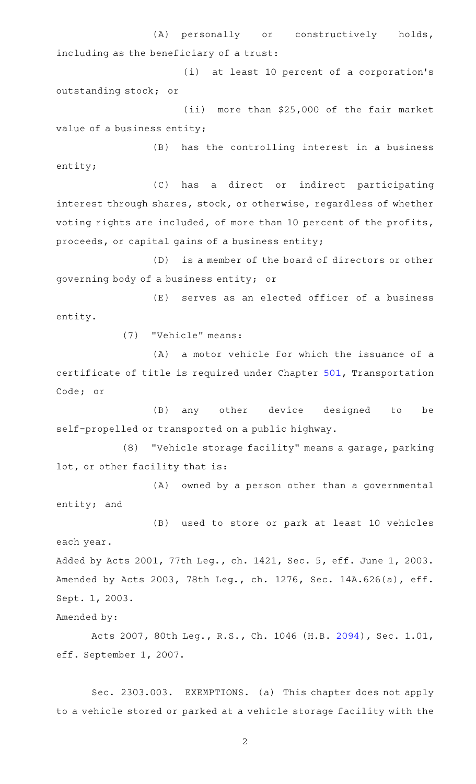(A) personally or constructively holds, including as the beneficiary of a trust:

(i) at least 10 percent of a corporation's outstanding stock; or

(ii) more than \$25,000 of the fair market value of a business entity;

(B) has the controlling interest in a business entity;

(C) has a direct or indirect participating interest through shares, stock, or otherwise, regardless of whether voting rights are included, of more than 10 percent of the profits, proceeds, or capital gains of a business entity;

(D) is a member of the board of directors or other governing body of a business entity; or

 $(E)$  serves as an elected officer of a business entity.

(7) "Vehicle" means:

(A) a motor vehicle for which the issuance of a certificate of title is required under Chapter [501,](http://www.statutes.legis.state.tx.us/GetStatute.aspx?Code=TN&Value=501) Transportation Code; or

(B) any other device designed to be self-propelled or transported on a public highway.

(8) "Vehicle storage facility" means a garage, parking lot, or other facility that is:

(A) owned by a person other than a governmental entity; and

(B) used to store or park at least 10 vehicles each year.

Added by Acts 2001, 77th Leg., ch. 1421, Sec. 5, eff. June 1, 2003. Amended by Acts 2003, 78th Leg., ch. 1276, Sec. 14A.626(a), eff. Sept. 1, 2003.

Amended by:

Acts 2007, 80th Leg., R.S., Ch. 1046 (H.B. [2094](http://www.legis.state.tx.us/tlodocs/80R/billtext/html/HB02094F.HTM)), Sec. 1.01, eff. September 1, 2007.

Sec. 2303.003. EXEMPTIONS. (a) This chapter does not apply to a vehicle stored or parked at a vehicle storage facility with the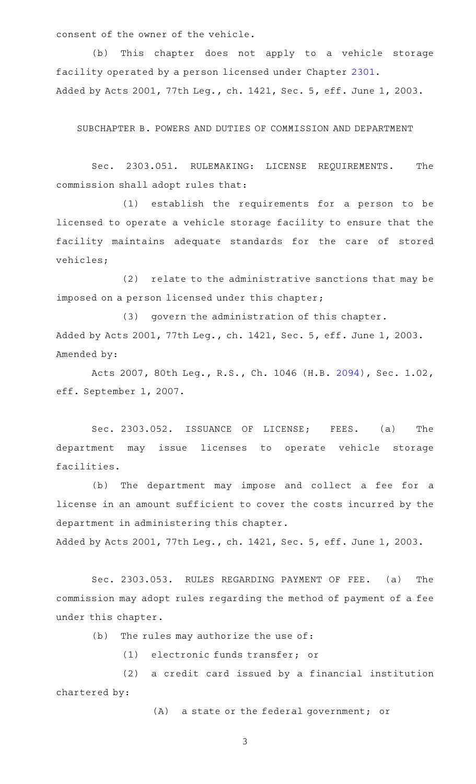consent of the owner of the vehicle.

(b) This chapter does not apply to a vehicle storage facility operated by a person licensed under Chapter [2301](http://www.statutes.legis.state.tx.us/GetStatute.aspx?Code=OC&Value=2301). Added by Acts 2001, 77th Leg., ch. 1421, Sec. 5, eff. June 1, 2003.

SUBCHAPTER B. POWERS AND DUTIES OF COMMISSION AND DEPARTMENT

Sec. 2303.051. RULEMAKING: LICENSE REQUIREMENTS. The commission shall adopt rules that:

(1) establish the requirements for a person to be licensed to operate a vehicle storage facility to ensure that the facility maintains adequate standards for the care of stored vehicles;

(2) relate to the administrative sanctions that may be imposed on a person licensed under this chapter;

(3) govern the administration of this chapter. Added by Acts 2001, 77th Leg., ch. 1421, Sec. 5, eff. June 1, 2003. Amended by:

Acts 2007, 80th Leg., R.S., Ch. 1046 (H.B. [2094](http://www.legis.state.tx.us/tlodocs/80R/billtext/html/HB02094F.HTM)), Sec. 1.02, eff. September 1, 2007.

Sec. 2303.052. ISSUANCE OF LICENSE; FEES. (a) The department may issue licenses to operate vehicle storage facilities.

(b) The department may impose and collect a fee for a license in an amount sufficient to cover the costs incurred by the department in administering this chapter. Added by Acts 2001, 77th Leg., ch. 1421, Sec. 5, eff. June 1, 2003.

Sec. 2303.053. RULES REGARDING PAYMENT OF FEE. (a) The commission may adopt rules regarding the method of payment of a fee under this chapter.

 $(b)$  The rules may authorize the use of:

(1) electronic funds transfer; or

(2) a credit card issued by a financial institution chartered by:

(A) a state or the federal government; or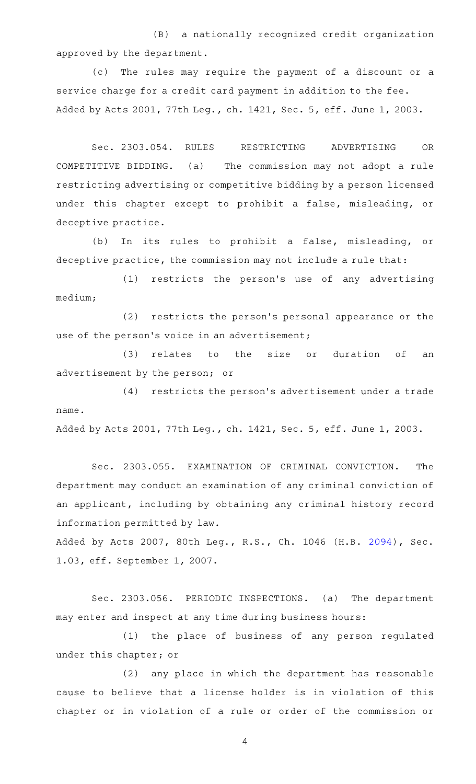(B) a nationally recognized credit organization approved by the department.

(c) The rules may require the payment of a discount or a service charge for a credit card payment in addition to the fee. Added by Acts 2001, 77th Leg., ch. 1421, Sec. 5, eff. June 1, 2003.

Sec. 2303.054. RULES RESTRICTING ADVERTISING OR COMPETITIVE BIDDING. (a) The commission may not adopt a rule restricting advertising or competitive bidding by a person licensed under this chapter except to prohibit a false, misleading, or deceptive practice.

(b) In its rules to prohibit a false, misleading, or deceptive practice, the commission may not include a rule that:

(1) restricts the person's use of any advertising medium;

(2) restricts the person's personal appearance or the use of the person's voice in an advertisement;

(3) relates to the size or duration of an advertisement by the person; or

 $(4)$  restricts the person's advertisement under a trade name.

Added by Acts 2001, 77th Leg., ch. 1421, Sec. 5, eff. June 1, 2003.

Sec. 2303.055. EXAMINATION OF CRIMINAL CONVICTION. The department may conduct an examination of any criminal conviction of an applicant, including by obtaining any criminal history record information permitted by law.

Added by Acts 2007, 80th Leg., R.S., Ch. 1046 (H.B. [2094](http://www.legis.state.tx.us/tlodocs/80R/billtext/html/HB02094F.HTM)), Sec. 1.03, eff. September 1, 2007.

Sec. 2303.056. PERIODIC INSPECTIONS. (a) The department may enter and inspect at any time during business hours:

(1) the place of business of any person regulated under this chapter; or

(2) any place in which the department has reasonable cause to believe that a license holder is in violation of this chapter or in violation of a rule or order of the commission or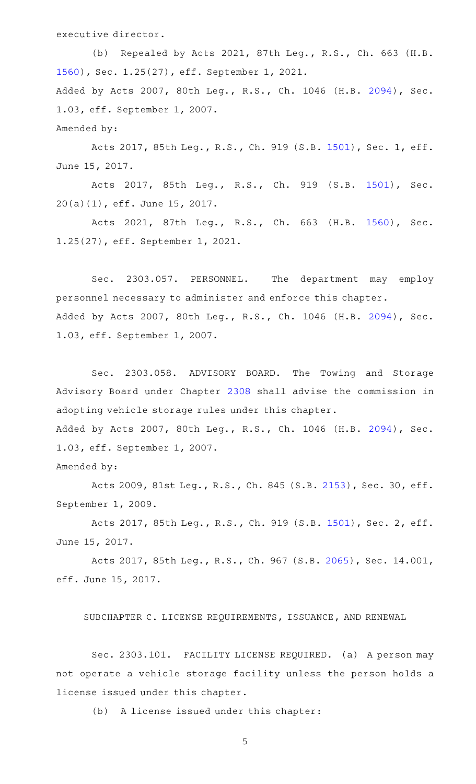executive director.

(b) Repealed by Acts 2021, 87th Leg., R.S., Ch. 663 (H.B. [1560](http://www.legis.state.tx.us/tlodocs/87R/billtext/html/HB01560F.HTM)), Sec. 1.25(27), eff. September 1, 2021. Added by Acts 2007, 80th Leg., R.S., Ch. 1046 (H.B. [2094](http://www.legis.state.tx.us/tlodocs/80R/billtext/html/HB02094F.HTM)), Sec. 1.03, eff. September 1, 2007. Amended by:

Acts 2017, 85th Leg., R.S., Ch. 919 (S.B. [1501](http://www.legis.state.tx.us/tlodocs/85R/billtext/html/SB01501F.HTM)), Sec. 1, eff. June 15, 2017.

Acts 2017, 85th Leg., R.S., Ch. 919 (S.B. [1501\)](http://www.legis.state.tx.us/tlodocs/85R/billtext/html/SB01501F.HTM), Sec. 20(a)(1), eff. June 15, 2017.

Acts 2021, 87th Leg., R.S., Ch. 663 (H.B. [1560\)](http://www.legis.state.tx.us/tlodocs/87R/billtext/html/HB01560F.HTM), Sec. 1.25(27), eff. September 1, 2021.

Sec. 2303.057. PERSONNEL. The department may employ personnel necessary to administer and enforce this chapter. Added by Acts 2007, 80th Leg., R.S., Ch. 1046 (H.B. [2094](http://www.legis.state.tx.us/tlodocs/80R/billtext/html/HB02094F.HTM)), Sec. 1.03, eff. September 1, 2007.

Sec. 2303.058. ADVISORY BOARD. The Towing and Storage Advisory Board under Chapter [2308](http://www.statutes.legis.state.tx.us/GetStatute.aspx?Code=OC&Value=2308) shall advise the commission in adopting vehicle storage rules under this chapter. Added by Acts 2007, 80th Leg., R.S., Ch. 1046 (H.B. [2094](http://www.legis.state.tx.us/tlodocs/80R/billtext/html/HB02094F.HTM)), Sec. 1.03, eff. September 1, 2007.

Amended by:

Acts 2009, 81st Leg., R.S., Ch. 845 (S.B. [2153\)](http://www.legis.state.tx.us/tlodocs/81R/billtext/html/SB02153F.HTM), Sec. 30, eff. September 1, 2009.

Acts 2017, 85th Leg., R.S., Ch. 919 (S.B. [1501](http://www.legis.state.tx.us/tlodocs/85R/billtext/html/SB01501F.HTM)), Sec. 2, eff. June 15, 2017.

Acts 2017, 85th Leg., R.S., Ch. 967 (S.B. [2065\)](http://www.legis.state.tx.us/tlodocs/85R/billtext/html/SB02065F.HTM), Sec. 14.001, eff. June 15, 2017.

SUBCHAPTER C. LICENSE REQUIREMENTS, ISSUANCE, AND RENEWAL

Sec. 2303.101. FACILITY LICENSE REQUIRED. (a) A person may not operate a vehicle storage facility unless the person holds a license issued under this chapter.

(b) A license issued under this chapter: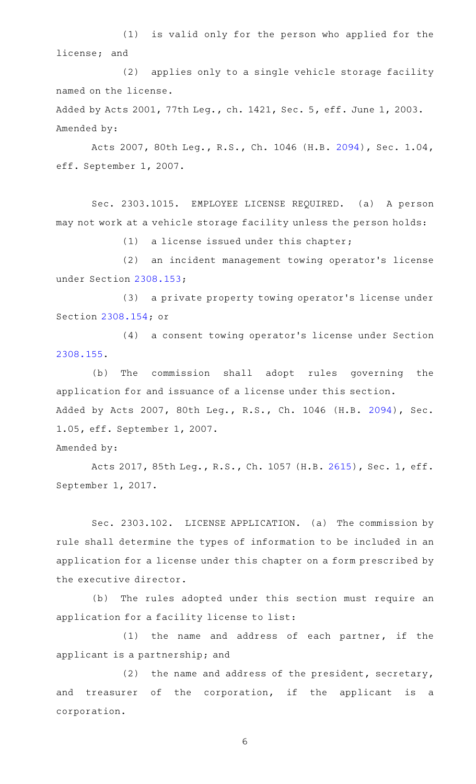(1) is valid only for the person who applied for the license; and

(2) applies only to a single vehicle storage facility named on the license.

Added by Acts 2001, 77th Leg., ch. 1421, Sec. 5, eff. June 1, 2003. Amended by:

Acts 2007, 80th Leg., R.S., Ch. 1046 (H.B. [2094](http://www.legis.state.tx.us/tlodocs/80R/billtext/html/HB02094F.HTM)), Sec. 1.04, eff. September 1, 2007.

Sec. 2303.1015. EMPLOYEE LICENSE REQUIRED. (a) A person may not work at a vehicle storage facility unless the person holds:

 $(1)$  a license issued under this chapter;

(2) an incident management towing operator's license under Section [2308.153](http://www.statutes.legis.state.tx.us/GetStatute.aspx?Code=OC&Value=2308.153);

(3) a private property towing operator's license under Section [2308.154](http://www.statutes.legis.state.tx.us/GetStatute.aspx?Code=OC&Value=2308.154); or

(4) a consent towing operator's license under Section [2308.155](http://www.statutes.legis.state.tx.us/GetStatute.aspx?Code=OC&Value=2308.155).

(b) The commission shall adopt rules governing the application for and issuance of a license under this section. Added by Acts 2007, 80th Leg., R.S., Ch. 1046 (H.B. [2094](http://www.legis.state.tx.us/tlodocs/80R/billtext/html/HB02094F.HTM)), Sec. 1.05, eff. September 1, 2007.

Amended by:

Acts 2017, 85th Leg., R.S., Ch. 1057 (H.B. [2615](http://www.legis.state.tx.us/tlodocs/85R/billtext/html/HB02615F.HTM)), Sec. 1, eff. September 1, 2017.

Sec. 2303.102. LICENSE APPLICATION. (a) The commission by rule shall determine the types of information to be included in an application for a license under this chapter on a form prescribed by the executive director.

(b) The rules adopted under this section must require an application for a facility license to list:

 $(1)$  the name and address of each partner, if the applicant is a partnership; and

(2) the name and address of the president, secretary, and treasurer of the corporation, if the applicant is a corporation.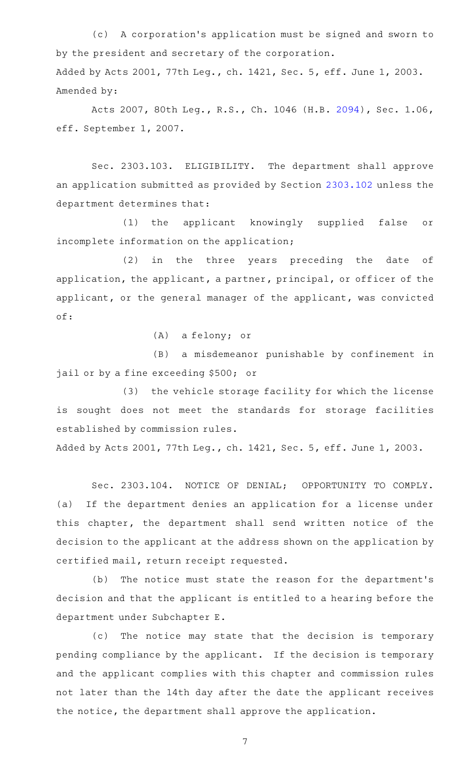(c) A corporation's application must be signed and sworn to by the president and secretary of the corporation. Added by Acts 2001, 77th Leg., ch. 1421, Sec. 5, eff. June 1, 2003. Amended by:

Acts 2007, 80th Leg., R.S., Ch. 1046 (H.B. [2094](http://www.legis.state.tx.us/tlodocs/80R/billtext/html/HB02094F.HTM)), Sec. 1.06, eff. September 1, 2007.

Sec. 2303.103. ELIGIBILITY. The department shall approve an application submitted as provided by Section [2303.102](http://www.statutes.legis.state.tx.us/GetStatute.aspx?Code=OC&Value=2303.102) unless the department determines that:

(1) the applicant knowingly supplied false or incomplete information on the application;

(2) in the three years preceding the date of application, the applicant, a partner, principal, or officer of the applicant, or the general manager of the applicant, was convicted of:

(A) a felony; or

(B) a misdemeanor punishable by confinement in jail or by a fine exceeding \$500; or

(3) the vehicle storage facility for which the license is sought does not meet the standards for storage facilities established by commission rules.

Added by Acts 2001, 77th Leg., ch. 1421, Sec. 5, eff. June 1, 2003.

Sec. 2303.104. NOTICE OF DENIAL; OPPORTUNITY TO COMPLY. (a) If the department denies an application for a license under this chapter, the department shall send written notice of the decision to the applicant at the address shown on the application by certified mail, return receipt requested.

(b) The notice must state the reason for the department's decision and that the applicant is entitled to a hearing before the department under Subchapter E.

(c) The notice may state that the decision is temporary pending compliance by the applicant. If the decision is temporary and the applicant complies with this chapter and commission rules not later than the 14th day after the date the applicant receives the notice, the department shall approve the application.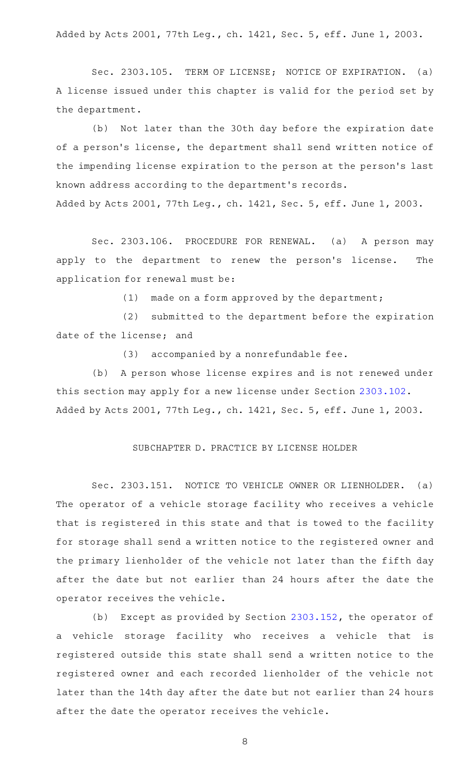Added by Acts 2001, 77th Leg., ch. 1421, Sec. 5, eff. June 1, 2003.

Sec. 2303.105. TERM OF LICENSE; NOTICE OF EXPIRATION. (a) A license issued under this chapter is valid for the period set by the department.

(b) Not later than the 30th day before the expiration date of a person's license, the department shall send written notice of the impending license expiration to the person at the person 's last known address according to the department 's records.

Added by Acts 2001, 77th Leg., ch. 1421, Sec. 5, eff. June 1, 2003.

Sec. 2303.106. PROCEDURE FOR RENEWAL. (a) A person may apply to the department to renew the person's license. The application for renewal must be:

 $(1)$  made on a form approved by the department;

(2) submitted to the department before the expiration date of the license; and

 $(3)$  accompanied by a nonrefundable fee.

(b) A person whose license expires and is not renewed under this section may apply for a new license under Section [2303.102](http://www.statutes.legis.state.tx.us/GetStatute.aspx?Code=OC&Value=2303.102). Added by Acts 2001, 77th Leg., ch. 1421, Sec. 5, eff. June 1, 2003.

#### SUBCHAPTER D. PRACTICE BY LICENSE HOLDER

Sec. 2303.151. NOTICE TO VEHICLE OWNER OR LIENHOLDER. (a) The operator of a vehicle storage facility who receives a vehicle that is registered in this state and that is towed to the facility for storage shall send a written notice to the registered owner and the primary lienholder of the vehicle not later than the fifth day after the date but not earlier than 24 hours after the date the operator receives the vehicle.

(b) Except as provided by Section [2303.152](http://www.statutes.legis.state.tx.us/GetStatute.aspx?Code=OC&Value=2303.152), the operator of a vehicle storage facility who receives a vehicle that is registered outside this state shall send a written notice to the registered owner and each recorded lienholder of the vehicle not later than the 14th day after the date but not earlier than 24 hours after the date the operator receives the vehicle.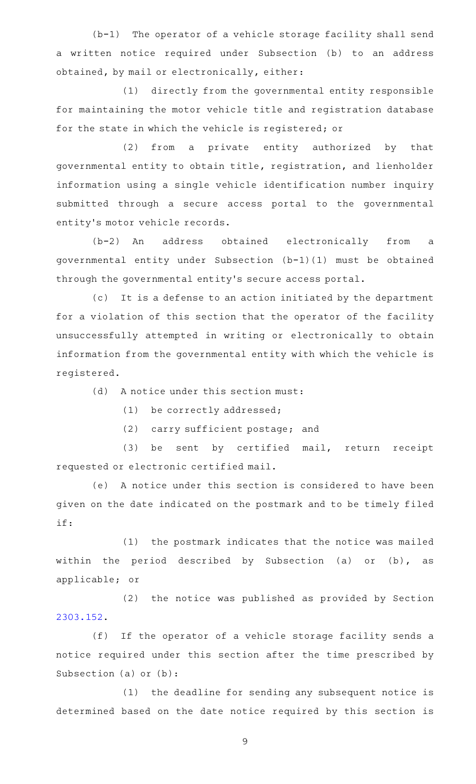$(b-1)$  The operator of a vehicle storage facility shall send a written notice required under Subsection (b) to an address obtained, by mail or electronically, either:

(1) directly from the governmental entity responsible for maintaining the motor vehicle title and registration database for the state in which the vehicle is registered; or

(2) from a private entity authorized by that governmental entity to obtain title, registration, and lienholder information using a single vehicle identification number inquiry submitted through a secure access portal to the governmental entity 's motor vehicle records.

(b-2) An address obtained electronically from a governmental entity under Subsection (b-1)(1) must be obtained through the governmental entity 's secure access portal.

(c) It is a defense to an action initiated by the department for a violation of this section that the operator of the facility unsuccessfully attempted in writing or electronically to obtain information from the governmental entity with which the vehicle is registered.

(d) A notice under this section must:

(1) be correctly addressed;

(2) carry sufficient postage; and

(3) be sent by certified mail, return receipt requested or electronic certified mail.

(e) A notice under this section is considered to have been given on the date indicated on the postmark and to be timely filed if:

(1) the postmark indicates that the notice was mailed within the period described by Subsection (a) or (b), as applicable; or

(2) the notice was published as provided by Section [2303.152](http://www.statutes.legis.state.tx.us/GetStatute.aspx?Code=OC&Value=2303.152).

(f) If the operator of a vehicle storage facility sends a notice required under this section after the time prescribed by Subsection (a) or (b):

(1) the deadline for sending any subsequent notice is determined based on the date notice required by this section is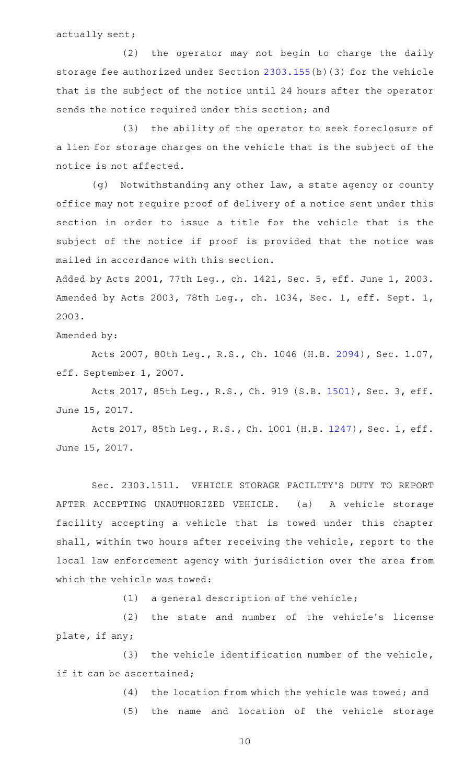actually sent;

(2) the operator may not begin to charge the daily storage fee authorized under Section [2303.155](http://www.statutes.legis.state.tx.us/GetStatute.aspx?Code=OC&Value=2303.155)(b)(3) for the vehicle that is the subject of the notice until 24 hours after the operator sends the notice required under this section; and

(3) the ability of the operator to seek foreclosure of a lien for storage charges on the vehicle that is the subject of the notice is not affected.

(g) Notwithstanding any other law, a state agency or county office may not require proof of delivery of a notice sent under this section in order to issue a title for the vehicle that is the subject of the notice if proof is provided that the notice was mailed in accordance with this section.

Added by Acts 2001, 77th Leg., ch. 1421, Sec. 5, eff. June 1, 2003. Amended by Acts 2003, 78th Leg., ch. 1034, Sec. 1, eff. Sept. 1, 2003.

Amended by:

Acts 2007, 80th Leg., R.S., Ch. 1046 (H.B. [2094](http://www.legis.state.tx.us/tlodocs/80R/billtext/html/HB02094F.HTM)), Sec. 1.07, eff. September 1, 2007.

Acts 2017, 85th Leg., R.S., Ch. 919 (S.B. [1501](http://www.legis.state.tx.us/tlodocs/85R/billtext/html/SB01501F.HTM)), Sec. 3, eff. June 15, 2017.

Acts 2017, 85th Leg., R.S., Ch. 1001 (H.B. [1247](http://www.legis.state.tx.us/tlodocs/85R/billtext/html/HB01247F.HTM)), Sec. 1, eff. June 15, 2017.

Sec. 2303.1511. VEHICLE STORAGE FACILITY'S DUTY TO REPORT AFTER ACCEPTING UNAUTHORIZED VEHICLE. (a) A vehicle storage facility accepting a vehicle that is towed under this chapter shall, within two hours after receiving the vehicle, report to the local law enforcement agency with jurisdiction over the area from which the vehicle was towed:

 $(1)$  a general description of the vehicle;

(2) the state and number of the vehicle's license plate, if any;

 $(3)$  the vehicle identification number of the vehicle, if it can be ascertained;

(4) the location from which the vehicle was towed; and

(5) the name and location of the vehicle storage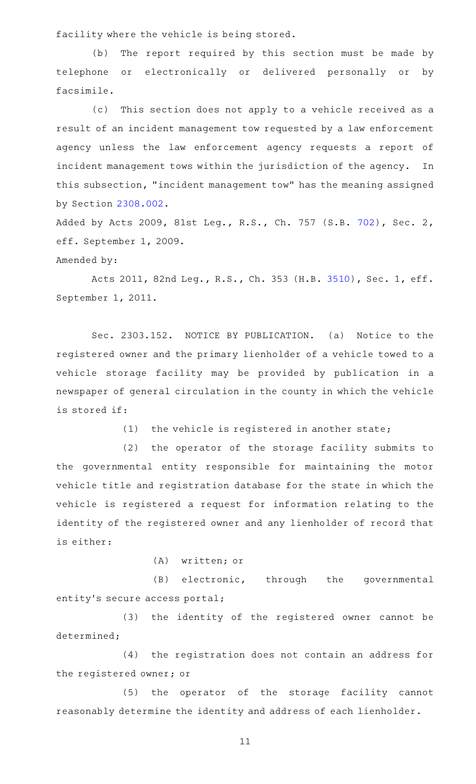facility where the vehicle is being stored.

(b) The report required by this section must be made by telephone or electronically or delivered personally or by facsimile.

(c) This section does not apply to a vehicle received as a result of an incident management tow requested by a law enforcement agency unless the law enforcement agency requests a report of incident management tows within the jurisdiction of the agency. In this subsection, "incident management tow" has the meaning assigned by Section [2308.002](http://www.statutes.legis.state.tx.us/GetStatute.aspx?Code=OC&Value=2308.002).

Added by Acts 2009, 81st Leg., R.S., Ch. 757 (S.B. [702](http://www.legis.state.tx.us/tlodocs/81R/billtext/html/SB00702F.HTM)), Sec. 2, eff. September 1, 2009.

Amended by:

Acts 2011, 82nd Leg., R.S., Ch. 353 (H.B. [3510](http://www.legis.state.tx.us/tlodocs/82R/billtext/html/HB03510F.HTM)), Sec. 1, eff. September 1, 2011.

Sec. 2303.152. NOTICE BY PUBLICATION. (a) Notice to the registered owner and the primary lienholder of a vehicle towed to a vehicle storage facility may be provided by publication in a newspaper of general circulation in the county in which the vehicle is stored if:

(1) the vehicle is registered in another state;

(2) the operator of the storage facility submits to the governmental entity responsible for maintaining the motor vehicle title and registration database for the state in which the vehicle is registered a request for information relating to the identity of the registered owner and any lienholder of record that is either:

(A) written; or

(B) electronic, through the governmental entity's secure access portal;

(3) the identity of the registered owner cannot be determined;

(4) the registration does not contain an address for the registered owner; or

(5) the operator of the storage facility cannot reasonably determine the identity and address of each lienholder.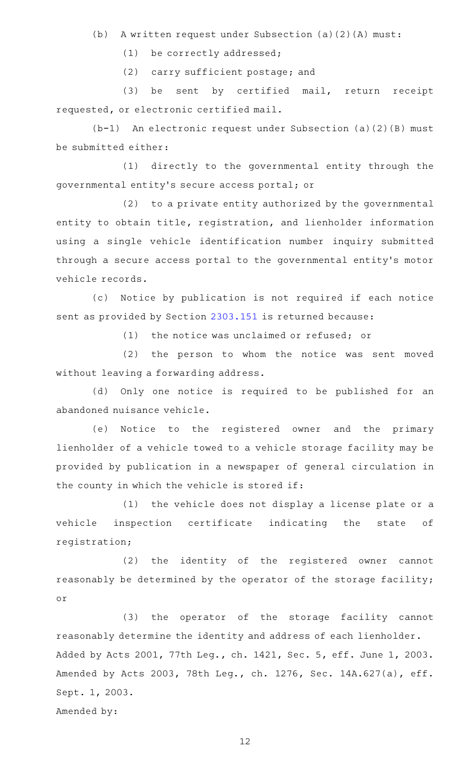(b) A written request under Subsection (a)(2)(A) must:

(1) be correctly addressed;

(2) carry sufficient postage; and

(3) be sent by certified mail, return receipt requested, or electronic certified mail.

 $(b-1)$  An electronic request under Subsection (a)(2)(B) must be submitted either:

(1) directly to the governmental entity through the governmental entity 's secure access portal; or

(2) to a private entity authorized by the governmental entity to obtain title, registration, and lienholder information using a single vehicle identification number inquiry submitted through a secure access portal to the governmental entity 's motor vehicle records.

(c) Notice by publication is not required if each notice sent as provided by Section [2303.151](http://www.statutes.legis.state.tx.us/GetStatute.aspx?Code=OC&Value=2303.151) is returned because:

 $(1)$  the notice was unclaimed or refused; or

(2) the person to whom the notice was sent moved without leaving a forwarding address.

(d) Only one notice is required to be published for an abandoned nuisance vehicle.

(e) Notice to the registered owner and the primary lienholder of a vehicle towed to a vehicle storage facility may be provided by publication in a newspaper of general circulation in the county in which the vehicle is stored if:

(1) the vehicle does not display a license plate or a vehicle inspection certificate indicating the state of registration;

(2) the identity of the registered owner cannot reasonably be determined by the operator of the storage facility; or

(3) the operator of the storage facility cannot reasonably determine the identity and address of each lienholder. Added by Acts 2001, 77th Leg., ch. 1421, Sec. 5, eff. June 1, 2003. Amended by Acts 2003, 78th Leg., ch. 1276, Sec. 14A.627(a), eff. Sept. 1, 2003.

Amended by: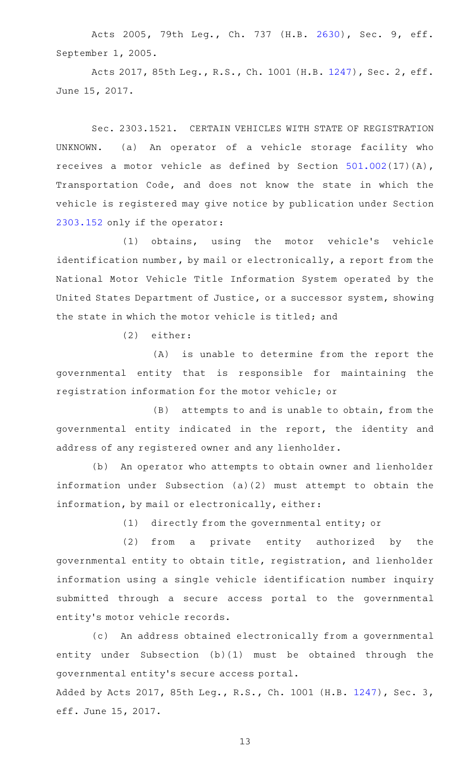Acts 2005, 79th Leg., Ch. 737 (H.B. [2630](http://www.legis.state.tx.us/tlodocs/79R/billtext/html/HB02630F.HTM)), Sec. 9, eff. September 1, 2005.

Acts 2017, 85th Leg., R.S., Ch. 1001 (H.B. [1247](http://www.legis.state.tx.us/tlodocs/85R/billtext/html/HB01247F.HTM)), Sec. 2, eff. June 15, 2017.

Sec. 2303.1521. CERTAIN VEHICLES WITH STATE OF REGISTRATION UNKNOWN. (a) An operator of a vehicle storage facility who receives a motor vehicle as defined by Section [501.002\(](http://www.statutes.legis.state.tx.us/GetStatute.aspx?Code=TN&Value=501.002)17)(A), Transportation Code, and does not know the state in which the vehicle is registered may give notice by publication under Section [2303.152](http://www.statutes.legis.state.tx.us/GetStatute.aspx?Code=OC&Value=2303.152) only if the operator:

(1) obtains, using the motor vehicle's vehicle identification number, by mail or electronically, a report from the National Motor Vehicle Title Information System operated by the United States Department of Justice, or a successor system, showing the state in which the motor vehicle is titled; and

(2) either:

 $(A)$  is unable to determine from the report the governmental entity that is responsible for maintaining the registration information for the motor vehicle; or

 $(B)$  attempts to and is unable to obtain, from the governmental entity indicated in the report, the identity and address of any registered owner and any lienholder.

(b) An operator who attempts to obtain owner and lienholder information under Subsection (a)(2) must attempt to obtain the information, by mail or electronically, either:

 $(1)$  directly from the governmental entity; or

(2) from a private entity authorized by the governmental entity to obtain title, registration, and lienholder information using a single vehicle identification number inquiry submitted through a secure access portal to the governmental entity 's motor vehicle records.

(c) An address obtained electronically from a governmental entity under Subsection (b)(1) must be obtained through the governmental entity 's secure access portal. Added by Acts 2017, 85th Leg., R.S., Ch. 1001 (H.B. [1247\)](http://www.legis.state.tx.us/tlodocs/85R/billtext/html/HB01247F.HTM), Sec. 3, eff. June 15, 2017.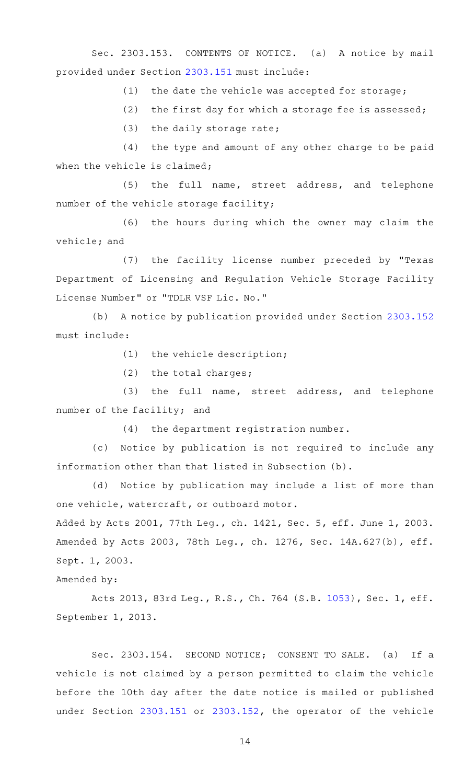Sec. 2303.153. CONTENTS OF NOTICE. (a) A notice by mail provided under Section [2303.151](http://www.statutes.legis.state.tx.us/GetStatute.aspx?Code=OC&Value=2303.151) must include:

 $(1)$  the date the vehicle was accepted for storage;

(2) the first day for which a storage fee is assessed;

 $(3)$  the daily storage rate;

 $(4)$  the type and amount of any other charge to be paid when the vehicle is claimed;

(5) the full name, street address, and telephone number of the vehicle storage facility;

(6) the hours during which the owner may claim the vehicle; and

(7) the facility license number preceded by "Texas Department of Licensing and Regulation Vehicle Storage Facility License Number" or "TDLR VSF Lic. No."

(b) A notice by publication provided under Section [2303.152](http://www.statutes.legis.state.tx.us/GetStatute.aspx?Code=OC&Value=2303.152) must include:

 $(1)$  the vehicle description;

(2) the total charges;

(3) the full name, street address, and telephone number of the facility; and

(4) the department registration number.

(c) Notice by publication is not required to include any information other than that listed in Subsection (b).

(d) Notice by publication may include a list of more than one vehicle, watercraft, or outboard motor.

Added by Acts 2001, 77th Leg., ch. 1421, Sec. 5, eff. June 1, 2003. Amended by Acts 2003, 78th Leg., ch. 1276, Sec. 14A.627(b), eff. Sept. 1, 2003.

Amended by:

Acts 2013, 83rd Leg., R.S., Ch. 764 (S.B. [1053](http://www.legis.state.tx.us/tlodocs/83R/billtext/html/SB01053F.HTM)), Sec. 1, eff. September 1, 2013.

Sec. 2303.154. SECOND NOTICE; CONSENT TO SALE. (a) If a vehicle is not claimed by a person permitted to claim the vehicle before the 10th day after the date notice is mailed or published under Section [2303.151](http://www.statutes.legis.state.tx.us/GetStatute.aspx?Code=OC&Value=2303.151) or [2303.152](http://www.statutes.legis.state.tx.us/GetStatute.aspx?Code=OC&Value=2303.152), the operator of the vehicle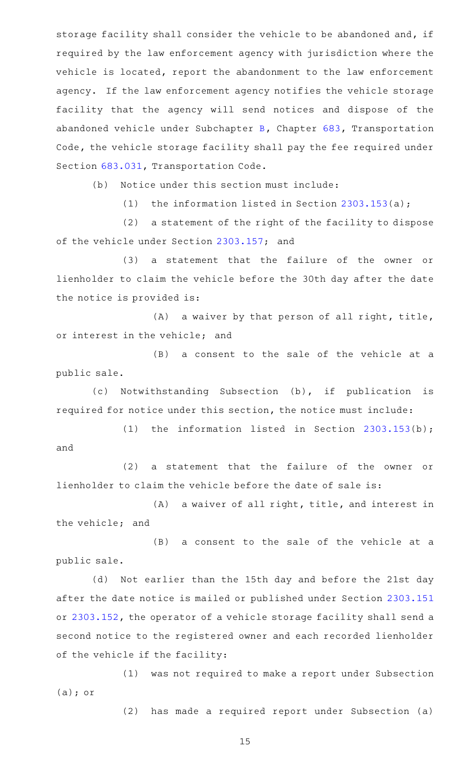storage facility shall consider the vehicle to be abandoned and, if required by the law enforcement agency with jurisdiction where the vehicle is located, report the abandonment to the law enforcement agency. If the law enforcement agency notifies the vehicle storage facility that the agency will send notices and dispose of the abandoned vehicle under Subchapter [B](http://www.statutes.legis.state.tx.us/GetStatute.aspx?Code=TN&Value=683.011), Chapter [683,](http://www.statutes.legis.state.tx.us/GetStatute.aspx?Code=TN&Value=683) Transportation Code, the vehicle storage facility shall pay the fee required under Section [683.031,](http://www.statutes.legis.state.tx.us/GetStatute.aspx?Code=TN&Value=683.031) Transportation Code.

(b) Notice under this section must include:

(1) the information listed in Section  $2303.153(a)$  $2303.153(a)$ ;

(2) a statement of the right of the facility to dispose of the vehicle under Section [2303.157;](http://www.statutes.legis.state.tx.us/GetStatute.aspx?Code=OC&Value=2303.157) and

(3) a statement that the failure of the owner or lienholder to claim the vehicle before the 30th day after the date the notice is provided is:

 $(A)$  a waiver by that person of all right, title, or interest in the vehicle; and

(B) a consent to the sale of the vehicle at a public sale.

(c) Notwithstanding Subsection (b), if publication is required for notice under this section, the notice must include:

(1) the information listed in Section  $2303.153(b)$  $2303.153(b)$ ; and

(2) a statement that the failure of the owner or lienholder to claim the vehicle before the date of sale is:

 $(A)$  a waiver of all right, title, and interest in the vehicle; and

(B) a consent to the sale of the vehicle at a public sale.

(d) Not earlier than the 15th day and before the 21st day after the date notice is mailed or published under Section [2303.151](http://www.statutes.legis.state.tx.us/GetStatute.aspx?Code=OC&Value=2303.151) or [2303.152,](http://www.statutes.legis.state.tx.us/GetStatute.aspx?Code=OC&Value=2303.152) the operator of a vehicle storage facility shall send a second notice to the registered owner and each recorded lienholder of the vehicle if the facility:

(1) was not required to make a report under Subsection (a); or

(2) has made a required report under Subsection (a)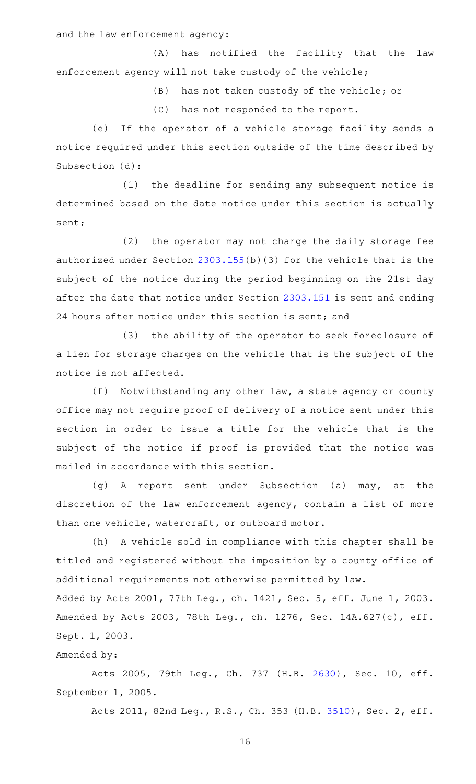and the law enforcement agency:

(A) has notified the facility that the law enforcement agency will not take custody of the vehicle;

(B) has not taken custody of the vehicle; or

(C) has not responded to the report.

(e) If the operator of a vehicle storage facility sends a notice required under this section outside of the time described by Subsection (d):

 $(1)$  the deadline for sending any subsequent notice is determined based on the date notice under this section is actually sent;

(2) the operator may not charge the daily storage fee authorized under Section [2303.155\(](http://www.statutes.legis.state.tx.us/GetStatute.aspx?Code=OC&Value=2303.155)b)(3) for the vehicle that is the subject of the notice during the period beginning on the 21st day after the date that notice under Section [2303.151](http://www.statutes.legis.state.tx.us/GetStatute.aspx?Code=OC&Value=2303.151) is sent and ending 24 hours after notice under this section is sent; and

(3) the ability of the operator to seek foreclosure of a lien for storage charges on the vehicle that is the subject of the notice is not affected.

 $(f)$  Notwithstanding any other law, a state agency or county office may not require proof of delivery of a notice sent under this section in order to issue a title for the vehicle that is the subject of the notice if proof is provided that the notice was mailed in accordance with this section.

(g)AAA report sent under Subsection (a) may, at the discretion of the law enforcement agency, contain a list of more than one vehicle, watercraft, or outboard motor.

(h) A vehicle sold in compliance with this chapter shall be titled and registered without the imposition by a county office of additional requirements not otherwise permitted by law. Added by Acts 2001, 77th Leg., ch. 1421, Sec. 5, eff. June 1, 2003. Amended by Acts 2003, 78th Leg., ch. 1276, Sec. 14A.627(c), eff.

Sept. 1, 2003.

## Amended by:

Acts 2005, 79th Leg., Ch. 737 (H.B. [2630\)](http://www.legis.state.tx.us/tlodocs/79R/billtext/html/HB02630F.HTM), Sec. 10, eff. September 1, 2005.

Acts 2011, 82nd Leg., R.S., Ch. 353 (H.B. [3510](http://www.legis.state.tx.us/tlodocs/82R/billtext/html/HB03510F.HTM)), Sec. 2, eff.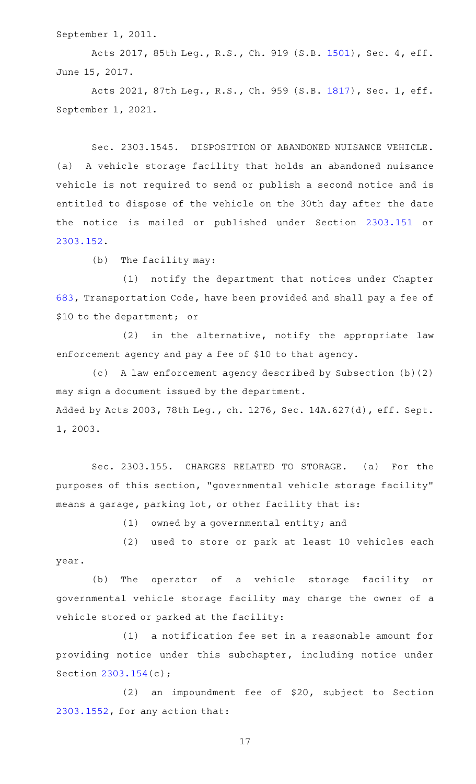September 1, 2011.

Acts 2017, 85th Leg., R.S., Ch. 919 (S.B. [1501](http://www.legis.state.tx.us/tlodocs/85R/billtext/html/SB01501F.HTM)), Sec. 4, eff. June 15, 2017.

Acts 2021, 87th Leg., R.S., Ch. 959 (S.B. [1817](http://www.legis.state.tx.us/tlodocs/87R/billtext/html/SB01817F.HTM)), Sec. 1, eff. September 1, 2021.

Sec. 2303.1545. DISPOSITION OF ABANDONED NUISANCE VEHICLE. (a) A vehicle storage facility that holds an abandoned nuisance vehicle is not required to send or publish a second notice and is entitled to dispose of the vehicle on the 30th day after the date the notice is mailed or published under Section [2303.151](http://www.statutes.legis.state.tx.us/GetStatute.aspx?Code=OC&Value=2303.151) or [2303.152](http://www.statutes.legis.state.tx.us/GetStatute.aspx?Code=OC&Value=2303.152).

 $(b)$  The facility may:

(1) notify the department that notices under Chapter [683,](http://www.statutes.legis.state.tx.us/GetStatute.aspx?Code=TN&Value=683) Transportation Code, have been provided and shall pay a fee of \$10 to the department; or

 $(2)$  in the alternative, notify the appropriate law enforcement agency and pay a fee of \$10 to that agency.

(c) A law enforcement agency described by Subsection (b)(2) may sign a document issued by the department. Added by Acts 2003, 78th Leg., ch. 1276, Sec. 14A.627(d), eff. Sept. 1, 2003.

Sec. 2303.155. CHARGES RELATED TO STORAGE. (a) For the purposes of this section, "governmental vehicle storage facility" means a garage, parking lot, or other facility that is:

 $(1)$  owned by a governmental entity; and

(2) used to store or park at least 10 vehicles each year.

(b) The operator of a vehicle storage facility or governmental vehicle storage facility may charge the owner of a vehicle stored or parked at the facility:

(1) a notification fee set in a reasonable amount for providing notice under this subchapter, including notice under Section [2303.154](http://www.statutes.legis.state.tx.us/GetStatute.aspx?Code=OC&Value=2303.154)(c);

 $(2)$  an impoundment fee of \$20, subject to Section [2303.1552,](http://www.statutes.legis.state.tx.us/GetStatute.aspx?Code=OC&Value=2303.1552) for any action that: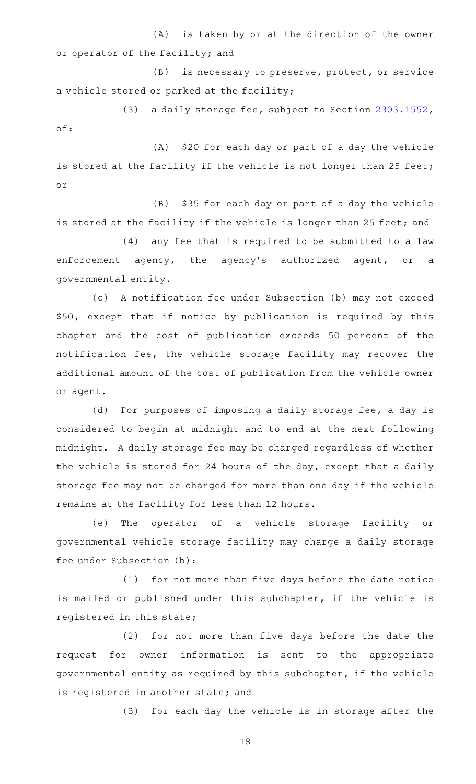$(A)$  is taken by or at the direction of the owner or operator of the facility; and

(B) is necessary to preserve, protect, or service a vehicle stored or parked at the facility;

(3) a daily storage fee, subject to Section [2303.1552](http://www.statutes.legis.state.tx.us/GetStatute.aspx?Code=OC&Value=2303.1552), of:

 $(A)$  \$20 for each day or part of a day the vehicle is stored at the facility if the vehicle is not longer than 25 feet; or

(B) \$35 for each day or part of a day the vehicle is stored at the facility if the vehicle is longer than 25 feet; and

(4) any fee that is required to be submitted to a law enforcement agency, the agency's authorized agent, or a governmental entity.

(c) A notification fee under Subsection (b) may not exceed \$50, except that if notice by publication is required by this chapter and the cost of publication exceeds 50 percent of the notification fee, the vehicle storage facility may recover the additional amount of the cost of publication from the vehicle owner or agent.

(d) For purposes of imposing a daily storage fee, a day is considered to begin at midnight and to end at the next following midnight. A daily storage fee may be charged regardless of whether the vehicle is stored for 24 hours of the day, except that a daily storage fee may not be charged for more than one day if the vehicle remains at the facility for less than 12 hours.

(e) The operator of a vehicle storage facility or governmental vehicle storage facility may charge a daily storage fee under Subsection (b):

(1) for not more than five days before the date notice is mailed or published under this subchapter, if the vehicle is registered in this state;

(2) for not more than five days before the date the request for owner information is sent to the appropriate governmental entity as required by this subchapter, if the vehicle is registered in another state; and

(3) for each day the vehicle is in storage after the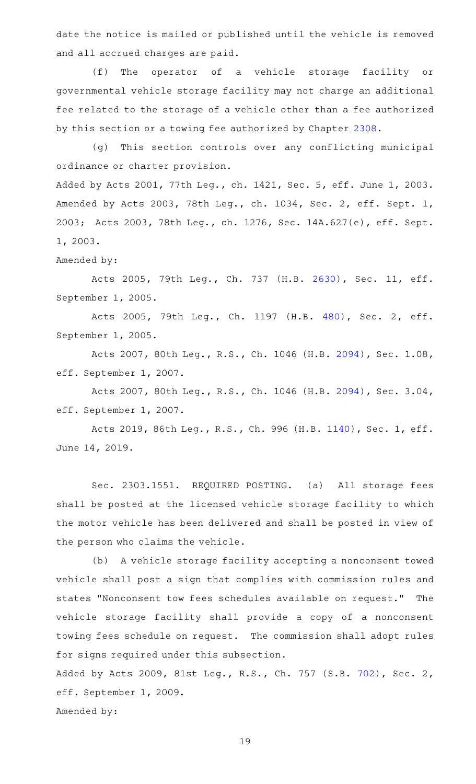date the notice is mailed or published until the vehicle is removed and all accrued charges are paid.

(f) The operator of a vehicle storage facility or governmental vehicle storage facility may not charge an additional fee related to the storage of a vehicle other than a fee authorized by this section or a towing fee authorized by Chapter [2308.](http://www.statutes.legis.state.tx.us/GetStatute.aspx?Code=OC&Value=2308)

(g) This section controls over any conflicting municipal ordinance or charter provision. Added by Acts 2001, 77th Leg., ch. 1421, Sec. 5, eff. June 1, 2003. Amended by Acts 2003, 78th Leg., ch. 1034, Sec. 2, eff. Sept. 1,

2003; Acts 2003, 78th Leg., ch. 1276, Sec. 14A.627(e), eff. Sept. 1, 2003.

## Amended by:

Acts 2005, 79th Leg., Ch. 737 (H.B. [2630\)](http://www.legis.state.tx.us/tlodocs/79R/billtext/html/HB02630F.HTM), Sec. 11, eff. September 1, 2005.

Acts 2005, 79th Leg., Ch. 1197 (H.B. [480](http://www.legis.state.tx.us/tlodocs/79R/billtext/html/HB00480F.HTM)), Sec. 2, eff. September 1, 2005.

Acts 2007, 80th Leg., R.S., Ch. 1046 (H.B. [2094](http://www.legis.state.tx.us/tlodocs/80R/billtext/html/HB02094F.HTM)), Sec. 1.08, eff. September 1, 2007.

Acts 2007, 80th Leg., R.S., Ch. 1046 (H.B. [2094](http://www.legis.state.tx.us/tlodocs/80R/billtext/html/HB02094F.HTM)), Sec. 3.04, eff. September 1, 2007.

Acts 2019, 86th Leg., R.S., Ch. 996 (H.B. [1140](http://www.legis.state.tx.us/tlodocs/86R/billtext/html/HB01140F.HTM)), Sec. 1, eff. June 14, 2019.

Sec. 2303.1551. REQUIRED POSTING. (a) All storage fees shall be posted at the licensed vehicle storage facility to which the motor vehicle has been delivered and shall be posted in view of the person who claims the vehicle.

(b) A vehicle storage facility accepting a nonconsent towed vehicle shall post a sign that complies with commission rules and states "Nonconsent tow fees schedules available on request." The vehicle storage facility shall provide a copy of a nonconsent towing fees schedule on request. The commission shall adopt rules for signs required under this subsection.

Added by Acts 2009, 81st Leg., R.S., Ch. 757 (S.B. [702](http://www.legis.state.tx.us/tlodocs/81R/billtext/html/SB00702F.HTM)), Sec. 2, eff. September 1, 2009. Amended by: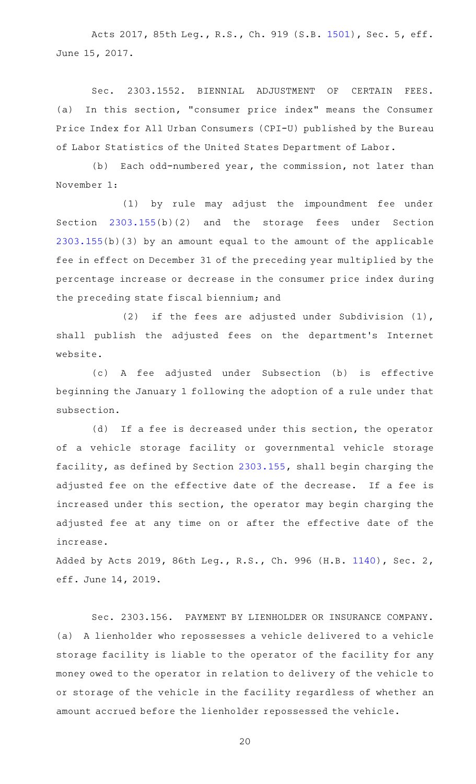Acts 2017, 85th Leg., R.S., Ch. 919 (S.B. [1501](http://www.legis.state.tx.us/tlodocs/85R/billtext/html/SB01501F.HTM)), Sec. 5, eff. June 15, 2017.

Sec. 2303.1552. BIENNIAL ADJUSTMENT OF CERTAIN FEES. (a) In this section, "consumer price index" means the Consumer Price Index for All Urban Consumers (CPI-U) published by the Bureau of Labor Statistics of the United States Department of Labor.

(b) Each odd-numbered year, the commission, not later than November 1:

(1) by rule may adjust the impoundment fee under Section [2303.155\(](http://www.statutes.legis.state.tx.us/GetStatute.aspx?Code=OC&Value=2303.155)b)(2) and the storage fees under Section [2303.155](http://www.statutes.legis.state.tx.us/GetStatute.aspx?Code=OC&Value=2303.155)(b)(3) by an amount equal to the amount of the applicable fee in effect on December 31 of the preceding year multiplied by the percentage increase or decrease in the consumer price index during the preceding state fiscal biennium; and

(2) if the fees are adjusted under Subdivision  $(1)$ , shall publish the adjusted fees on the department's Internet website.

(c)AAA fee adjusted under Subsection (b) is effective beginning the January 1 following the adoption of a rule under that subsection.

(d) If a fee is decreased under this section, the operator of a vehicle storage facility or governmental vehicle storage facility, as defined by Section [2303.155](http://www.statutes.legis.state.tx.us/GetStatute.aspx?Code=OC&Value=2303.155), shall begin charging the adjusted fee on the effective date of the decrease. If a fee is increased under this section, the operator may begin charging the adjusted fee at any time on or after the effective date of the increase.

Added by Acts 2019, 86th Leg., R.S., Ch. 996 (H.B. [1140](http://www.legis.state.tx.us/tlodocs/86R/billtext/html/HB01140F.HTM)), Sec. 2, eff. June 14, 2019.

Sec. 2303.156. PAYMENT BY LIENHOLDER OR INSURANCE COMPANY. (a) A lienholder who repossesses a vehicle delivered to a vehicle storage facility is liable to the operator of the facility for any money owed to the operator in relation to delivery of the vehicle to or storage of the vehicle in the facility regardless of whether an amount accrued before the lienholder repossessed the vehicle.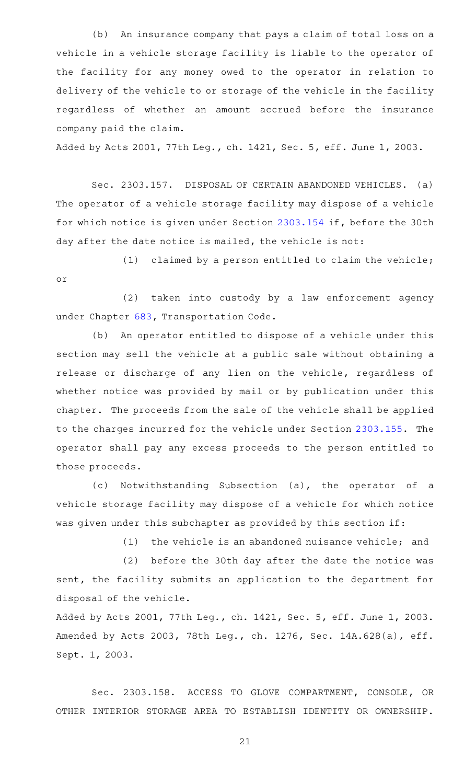(b) An insurance company that pays a claim of total loss on a vehicle in a vehicle storage facility is liable to the operator of the facility for any money owed to the operator in relation to delivery of the vehicle to or storage of the vehicle in the facility regardless of whether an amount accrued before the insurance company paid the claim.

Added by Acts 2001, 77th Leg., ch. 1421, Sec. 5, eff. June 1, 2003.

Sec. 2303.157. DISPOSAL OF CERTAIN ABANDONED VEHICLES. (a) The operator of a vehicle storage facility may dispose of a vehicle for which notice is given under Section [2303.154](http://www.statutes.legis.state.tx.us/GetStatute.aspx?Code=OC&Value=2303.154) if, before the 30th day after the date notice is mailed, the vehicle is not:

(1) claimed by a person entitled to claim the vehicle; or

(2) taken into custody by a law enforcement agency under Chapter [683](http://www.statutes.legis.state.tx.us/GetStatute.aspx?Code=TN&Value=683), Transportation Code.

(b) An operator entitled to dispose of a vehicle under this section may sell the vehicle at a public sale without obtaining a release or discharge of any lien on the vehicle, regardless of whether notice was provided by mail or by publication under this chapter. The proceeds from the sale of the vehicle shall be applied to the charges incurred for the vehicle under Section [2303.155.](http://www.statutes.legis.state.tx.us/GetStatute.aspx?Code=OC&Value=2303.155) The operator shall pay any excess proceeds to the person entitled to those proceeds.

(c) Notwithstanding Subsection (a), the operator of a vehicle storage facility may dispose of a vehicle for which notice was given under this subchapter as provided by this section if:

 $(1)$  the vehicle is an abandoned nuisance vehicle; and

(2) before the 30th day after the date the notice was sent, the facility submits an application to the department for disposal of the vehicle.

Added by Acts 2001, 77th Leg., ch. 1421, Sec. 5, eff. June 1, 2003. Amended by Acts 2003, 78th Leg., ch. 1276, Sec. 14A.628(a), eff. Sept. 1, 2003.

Sec. 2303.158. ACCESS TO GLOVE COMPARTMENT, CONSOLE, OR OTHER INTERIOR STORAGE AREA TO ESTABLISH IDENTITY OR OWNERSHIP.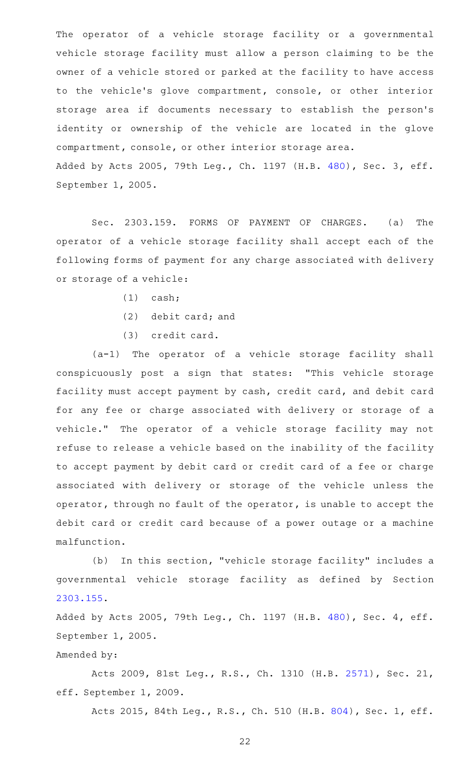The operator of a vehicle storage facility or a governmental vehicle storage facility must allow a person claiming to be the owner of a vehicle stored or parked at the facility to have access to the vehicle's glove compartment, console, or other interior storage area if documents necessary to establish the person 's identity or ownership of the vehicle are located in the glove compartment, console, or other interior storage area. Added by Acts 2005, 79th Leg., Ch. 1197 (H.B. [480](http://www.legis.state.tx.us/tlodocs/79R/billtext/html/HB00480F.HTM)), Sec. 3, eff. September 1, 2005.

Sec. 2303.159. FORMS OF PAYMENT OF CHARGES. (a) The operator of a vehicle storage facility shall accept each of the following forms of payment for any charge associated with delivery or storage of a vehicle:

- $(1)$  cash;
- $(2)$  debit card; and
- (3) credit card.

(a-1) The operator of a vehicle storage facility shall conspicuously post a sign that states: "This vehicle storage facility must accept payment by cash, credit card, and debit card for any fee or charge associated with delivery or storage of a vehicle." The operator of a vehicle storage facility may not refuse to release a vehicle based on the inability of the facility to accept payment by debit card or credit card of a fee or charge associated with delivery or storage of the vehicle unless the operator, through no fault of the operator, is unable to accept the debit card or credit card because of a power outage or a machine malfunction.

(b) In this section, "vehicle storage facility" includes a governmental vehicle storage facility as defined by Section [2303.155](http://www.statutes.legis.state.tx.us/GetStatute.aspx?Code=OC&Value=2303.155).

Added by Acts 2005, 79th Leg., Ch. 1197 (H.B. [480](http://www.legis.state.tx.us/tlodocs/79R/billtext/html/HB00480F.HTM)), Sec. 4, eff. September 1, 2005.

Amended by:

Acts 2009, 81st Leg., R.S., Ch. 1310 (H.B. [2571](http://www.legis.state.tx.us/tlodocs/81R/billtext/html/HB02571F.HTM)), Sec. 21, eff. September 1, 2009.

Acts 2015, 84th Leg., R.S., Ch. 510 (H.B. [804](http://www.legis.state.tx.us/tlodocs/84R/billtext/html/HB00804F.HTM)), Sec. 1, eff.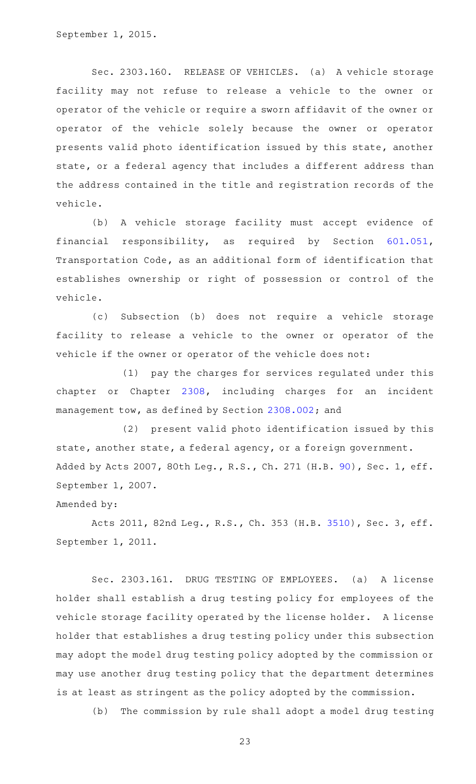Sec. 2303.160. RELEASE OF VEHICLES. (a) A vehicle storage facility may not refuse to release a vehicle to the owner or operator of the vehicle or require a sworn affidavit of the owner or operator of the vehicle solely because the owner or operator presents valid photo identification issued by this state, another state, or a federal agency that includes a different address than the address contained in the title and registration records of the vehicle.

(b) A vehicle storage facility must accept evidence of financial responsibility, as required by Section [601.051](http://www.statutes.legis.state.tx.us/GetStatute.aspx?Code=TN&Value=601.051), Transportation Code, as an additional form of identification that establishes ownership or right of possession or control of the vehicle.

(c) Subsection (b) does not require a vehicle storage facility to release a vehicle to the owner or operator of the vehicle if the owner or operator of the vehicle does not:

(1) pay the charges for services regulated under this chapter or Chapter [2308,](http://www.statutes.legis.state.tx.us/GetStatute.aspx?Code=OC&Value=2308) including charges for an incident management tow, as defined by Section [2308.002](http://www.statutes.legis.state.tx.us/GetStatute.aspx?Code=OC&Value=2308.002); and

(2) present valid photo identification issued by this state, another state, a federal agency, or a foreign government. Added by Acts 2007, 80th Leg., R.S., Ch. 271 (H.B. [90](http://www.legis.state.tx.us/tlodocs/80R/billtext/html/HB00090F.HTM)), Sec. 1, eff. September 1, 2007.

### Amended by:

Acts 2011, 82nd Leg., R.S., Ch. 353 (H.B. [3510](http://www.legis.state.tx.us/tlodocs/82R/billtext/html/HB03510F.HTM)), Sec. 3, eff. September 1, 2011.

Sec. 2303.161. DRUG TESTING OF EMPLOYEES. (a) A license holder shall establish a drug testing policy for employees of the vehicle storage facility operated by the license holder. A license holder that establishes a drug testing policy under this subsection may adopt the model drug testing policy adopted by the commission or may use another drug testing policy that the department determines is at least as stringent as the policy adopted by the commission.

(b) The commission by rule shall adopt a model drug testing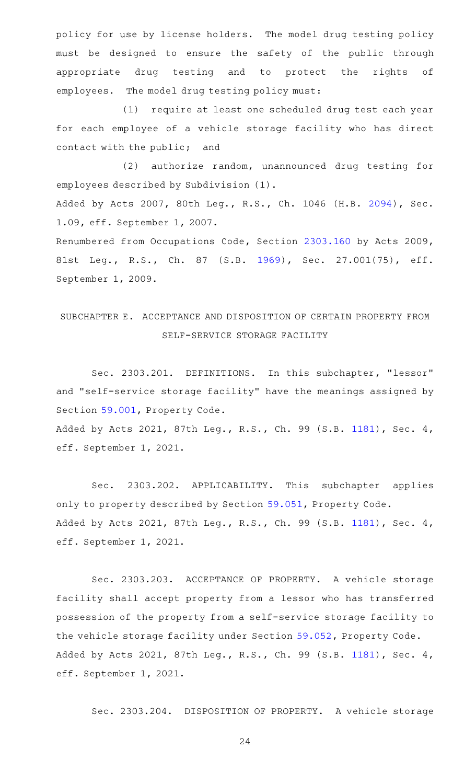policy for use by license holders. The model drug testing policy must be designed to ensure the safety of the public through appropriate drug testing and to protect the rights of employees. The model drug testing policy must:

(1) require at least one scheduled drug test each year for each employee of a vehicle storage facility who has direct contact with the public; and

(2) authorize random, unannounced drug testing for employees described by Subdivision (1).

Added by Acts 2007, 80th Leg., R.S., Ch. 1046 (H.B. [2094](http://www.legis.state.tx.us/tlodocs/80R/billtext/html/HB02094F.HTM)), Sec. 1.09, eff. September 1, 2007.

Renumbered from Occupations Code, Section [2303.160](http://www.statutes.legis.state.tx.us/GetStatute.aspx?Code=OC&Value=2303.160) by Acts 2009, 81st Leg., R.S., Ch. 87 (S.B. [1969\)](http://www.legis.state.tx.us/tlodocs/81R/billtext/html/SB01969F.HTM), Sec. 27.001(75), eff. September 1, 2009.

# SUBCHAPTER E. ACCEPTANCE AND DISPOSITION OF CERTAIN PROPERTY FROM SELF-SERVICE STORAGE FACILITY

Sec. 2303.201. DEFINITIONS. In this subchapter, "lessor" and "self-service storage facility" have the meanings assigned by Section [59.001](http://www.statutes.legis.state.tx.us/GetStatute.aspx?Code=PR&Value=59.001), Property Code.

Added by Acts 2021, 87th Leg., R.S., Ch. 99 (S.B. [1181](http://www.legis.state.tx.us/tlodocs/87R/billtext/html/SB01181F.HTM)), Sec. 4, eff. September 1, 2021.

Sec. 2303.202. APPLICABILITY. This subchapter applies only to property described by Section [59.051](http://www.statutes.legis.state.tx.us/GetStatute.aspx?Code=PR&Value=59.051), Property Code. Added by Acts 2021, 87th Leg., R.S., Ch. 99 (S.B. [1181](http://www.legis.state.tx.us/tlodocs/87R/billtext/html/SB01181F.HTM)), Sec. 4, eff. September 1, 2021.

Sec. 2303.203. ACCEPTANCE OF PROPERTY. A vehicle storage facility shall accept property from a lessor who has transferred possession of the property from a self-service storage facility to the vehicle storage facility under Section [59.052,](http://www.statutes.legis.state.tx.us/GetStatute.aspx?Code=PR&Value=59.052) Property Code. Added by Acts 2021, 87th Leg., R.S., Ch. 99 (S.B. [1181](http://www.legis.state.tx.us/tlodocs/87R/billtext/html/SB01181F.HTM)), Sec. 4, eff. September 1, 2021.

Sec. 2303.204. DISPOSITION OF PROPERTY. A vehicle storage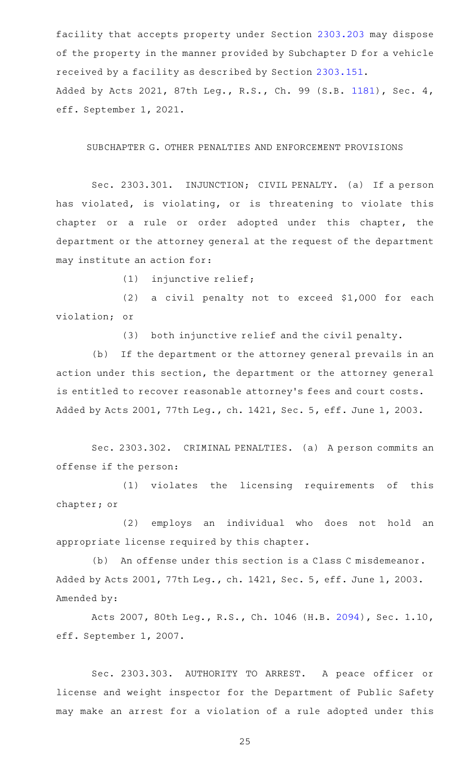facility that accepts property under Section [2303.203](http://www.statutes.legis.state.tx.us/GetStatute.aspx?Code=OC&Value=2303.203) may dispose of the property in the manner provided by Subchapter D for a vehicle received by a facility as described by Section [2303.151](http://www.statutes.legis.state.tx.us/GetStatute.aspx?Code=OC&Value=2303.151). Added by Acts 2021, 87th Leg., R.S., Ch. 99 (S.B. [1181](http://www.legis.state.tx.us/tlodocs/87R/billtext/html/SB01181F.HTM)), Sec. 4, eff. September 1, 2021.

SUBCHAPTER G. OTHER PENALTIES AND ENFORCEMENT PROVISIONS

Sec. 2303.301. INJUNCTION; CIVIL PENALTY. (a) If a person has violated, is violating, or is threatening to violate this chapter or a rule or order adopted under this chapter, the department or the attorney general at the request of the department may institute an action for:

(1) injunctive relief;

(2) a civil penalty not to exceed  $$1,000$  for each violation; or

(3) both injunctive relief and the civil penalty.

(b) If the department or the attorney general prevails in an action under this section, the department or the attorney general is entitled to recover reasonable attorney 's fees and court costs. Added by Acts 2001, 77th Leg., ch. 1421, Sec. 5, eff. June 1, 2003.

Sec. 2303.302. CRIMINAL PENALTIES. (a) A person commits an offense if the person:

(1) violates the licensing requirements of this chapter; or

(2) employs an individual who does not hold an appropriate license required by this chapter.

(b) An offense under this section is a Class C misdemeanor. Added by Acts 2001, 77th Leg., ch. 1421, Sec. 5, eff. June 1, 2003. Amended by:

Acts 2007, 80th Leg., R.S., Ch. 1046 (H.B. [2094](http://www.legis.state.tx.us/tlodocs/80R/billtext/html/HB02094F.HTM)), Sec. 1.10, eff. September 1, 2007.

Sec. 2303.303. AUTHORITY TO ARREST. A peace officer or license and weight inspector for the Department of Public Safety may make an arrest for a violation of a rule adopted under this